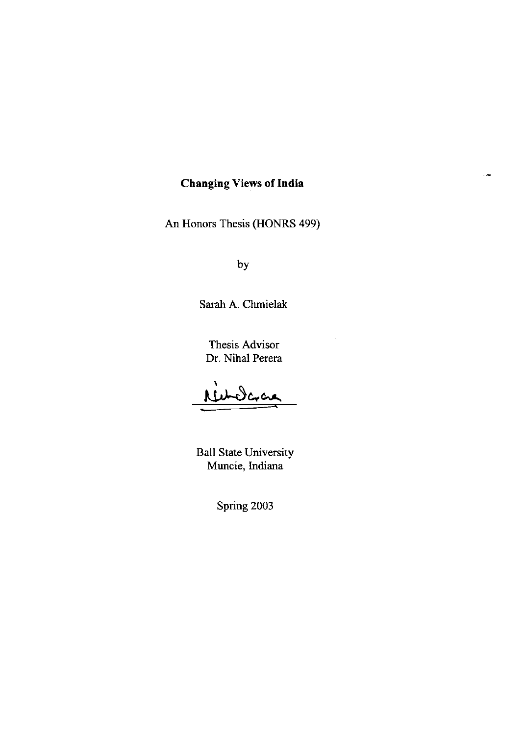## **Changing Views of India**

 $\overline{\phantom{a}}$ 

An Honors Thesis (HONRS 499)

by

Sarah A. Chmielak

Thesis Advisor Dr. Nihal Perera

Nederac

Ball State University Muncie, Indiana

Spring 2003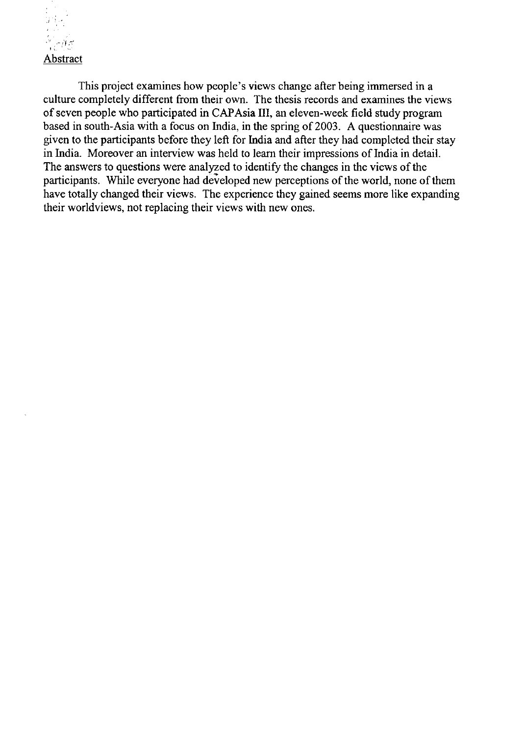

This project examines how people's views change after being immersed in a culture completely different from their own. The thesis records and examines the views of seven people who participated in CAP Asia **III,** an eleven-week field study program based in south-Asia with a focus on India, in the spring of 2003. A questionnaire was given to the participants before they left for India and after they had completed their stay in India. Moreover an interview was held to learn their impressions of India in detail. The answers to questions were analyzed to identify the changes in the views of the participants. While everyone had developed new perceptions of the world, none of them have totally changed their views. The experience they gained seems more like expanding their worldviews, not replacing their views with new ones.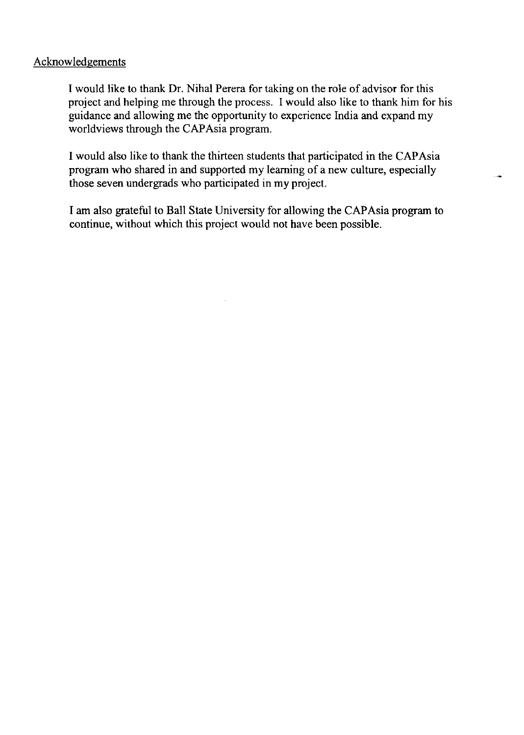## Acknowledgements

I would like to thank Dr. Nihal Perera for taking on the role of advisor for this project and helping me through the process. I would also like to thank him for his guidance and allowing me the opportunity to experience India and expand my worldviews through the CAPAsia program.

I would also like to thank the thirteen students that participated in the CAP Asia program who shared in and supported my learning of a new culture, especially those seven undergrads who participated in my project.

I am also grateful to Ball State University for allowing the CAP Asia program to continue, without which this project would not have been possible.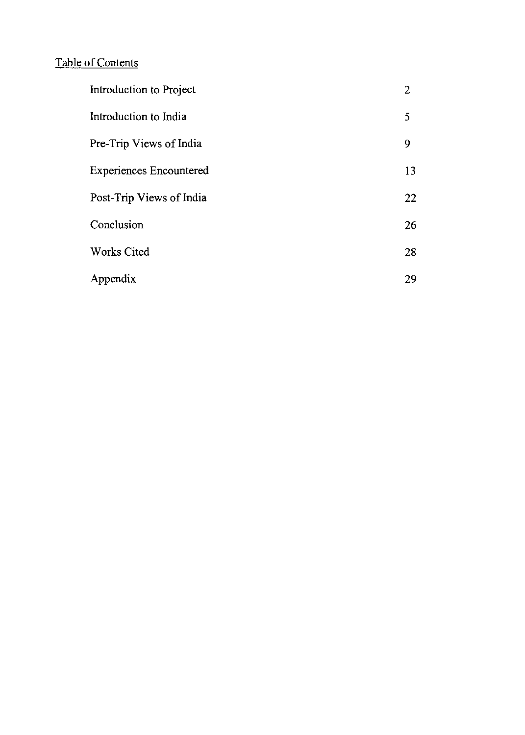# Table of Contents

| Introduction to Project        | 2  |
|--------------------------------|----|
| Introduction to India          | 5  |
| Pre-Trip Views of India        | 9  |
| <b>Experiences Encountered</b> | 13 |
| Post-Trip Views of India       | 22 |
| Conclusion                     | 26 |
| <b>Works Cited</b>             | 28 |
| Appendix                       | 29 |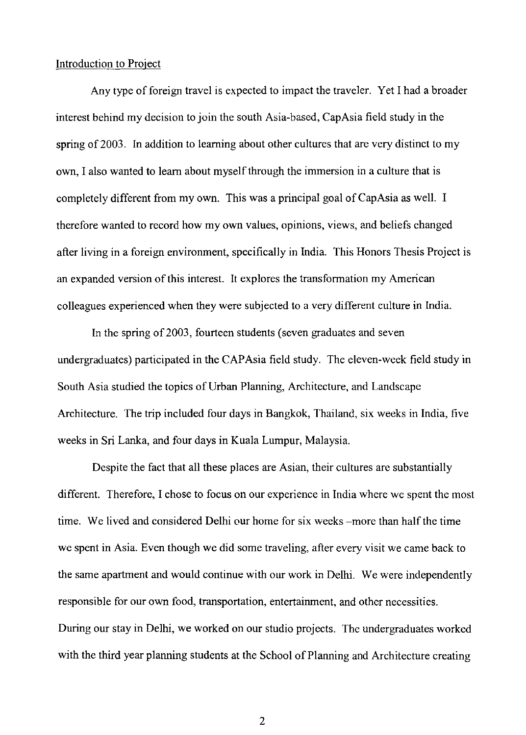### Introduction to Project

Any type of foreign travel is expected to impact the traveler. Yet I had a broader interest behind my decision to join the south Asia-based, CapAsia field study in the spring of 2003. In addition to learning about other cultures that are very distinct to my own, I also wanted to learn about myself through the immersion in a culture that is completely different from my own. This was a principal goal of CapAsia as well. I therefore wanted to record how my own values, opinions, views, and beliefs changed after living in a foreign environment, specifically in India. This Honors Thesis Project is an expanded version of this interest. It explores the transformation my American colleagues experienced when they were subjected to a very different culture in India.

In the spring of 2003, fourteen students (seven graduates and seven undergraduates) participated in the CAPAsia field study. The eleven-week field study in South Asia studied the topics of Urban Planning, Architecture, and Landscape Architecture. The trip included four days in Bangkok, Thailand, six weeks in India, five weeks in Sri Lanka, and four days in Kuala Lumpur, Malaysia.

Despite the fact that all these places are Asian, their cultures are substantially different. Therefore, I chose to focus on our experience in India where we spent the most time. We lived and considered Delhi our home for six weeks -more than half the time we spent in Asia. Even though we did some traveling, after every visit we came back to the same apartment and would continue with our work in Delhi. We were independently responsible for our own food, transportation, entertainment, and other necessities. During our stay in Delhi, we worked on our studio projects. The undergraduates worked with the third year planning students at the School of Planning and Architecture creating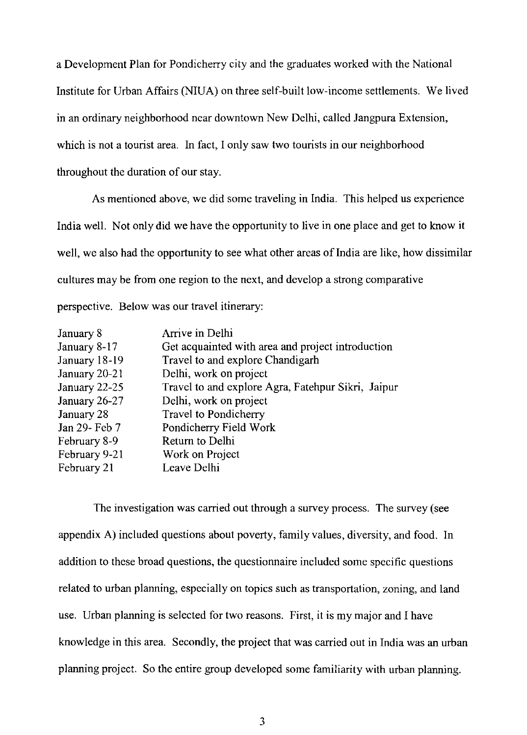a Development Plan for Pondicherry city and the graduates worked with the National Institute for Urban Affairs (NIUA) on three self-built low-income settlements. We lived in an ordinary neighborhood near downtown New Delhi, called Jangpura Extension, which is not a tourist area. In fact, I only saw two tourists in our neighborhood throughout the duration of our stay.

As mentioned above, we did some traveling in India. This helped us experience India well. Not only did we have the opportunity to live in one place and get to know it well, we also had the opportunity to see what other areas of India are like, how dissimilar cultures may be from one region to the next, and develop a strong comparative perspective. Below was our travel itinerary:

| Arrive in Delhi                                    |
|----------------------------------------------------|
| Get acquainted with area and project introduction  |
| Travel to and explore Chandigarh                   |
| Delhi, work on project                             |
| Travel to and explore Agra, Fatehpur Sikri, Jaipur |
| Delhi, work on project                             |
| Travel to Pondicherry                              |
| Pondicherry Field Work                             |
| Return to Delhi                                    |
| Work on Project                                    |
| Leave Delhi                                        |
|                                                    |

The investigation was carried out through a survey process. The survey (see appendix A) included questions about poverty, family values, diversity, and food. In addition to these broad questions, the questionnaire included some specific questions related to urban planning, especially on topics such as transportation, zoning, and land use. Urban planning is selected for two reasons. First, it is my major and I have knowledge in this area. Secondly, the project that was carried out in India was an urban planning project. So the entire group developed some familiarity with urban planning.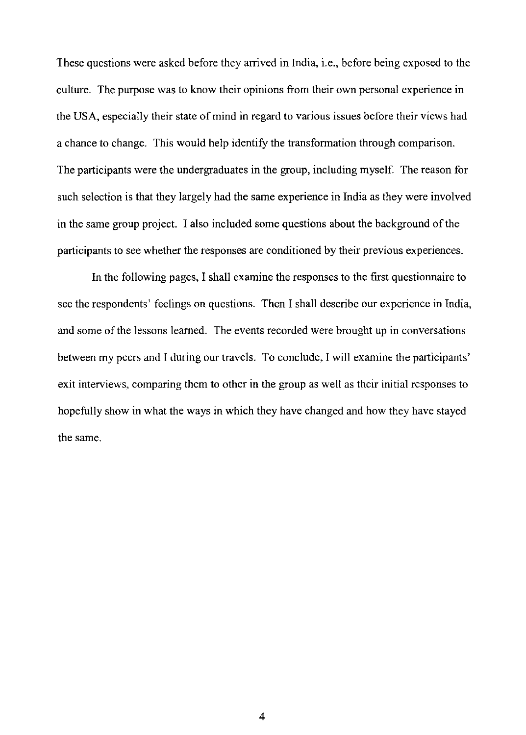These questions were asked before they arrived in India, i.e., before being exposed to the culture. The purpose was to know their opinions from their own personal experience in the USA, especially their state of mind in regard to various issues before their views had a chance to change. This would help identify the transformation through comparison. The participants were the undergraduates in the group, including myself. The reason for such selection is that they largely had the same experience in India as they were involved in the same group project. I also included some questions about the background of the participants to see whether the responses are conditioned by their previous experiences.

In the following pages, I shall examine the responses to the first questionnaire to see the respondents' feelings on questions. Then I shall describe our experience in India, and some of the lessons learned. The events recorded were brought up in conversations between my peers and I during our travels. To conclude, I will examine the participants' exit interviews, comparing them to other in the group as well as their initial responses to hopefully show in what the ways in which they have changed and how they have stayed the same.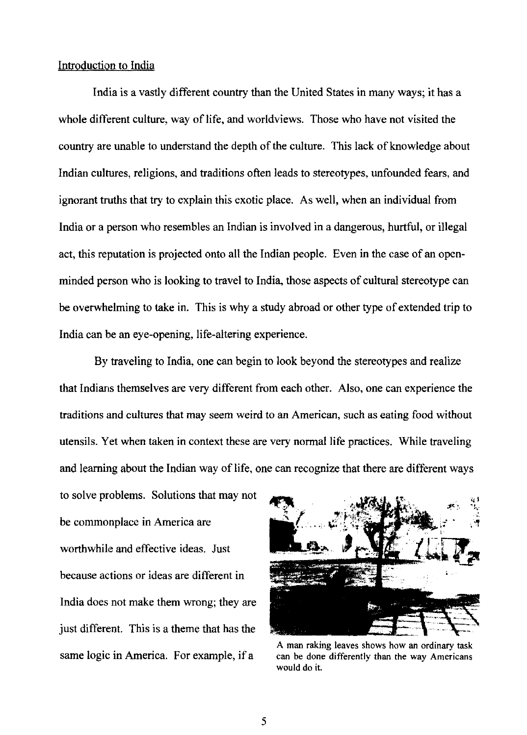## Introduction to India

India is a vastly different country than the United States in many ways; it has a whole different culture, way of life, and worldviews. Those who have not visited the country are unable to understand the depth of the culture. This lack of knowledge about Indian cultures, religions, and traditions often leads to stereotypes, unfounded fears, and ignorant truths that try to explain this exotic place. As well, when an individual from India or a person who resembles an Indian is involved in a dangerous, hurtful, or illegal act, this reputation is projected onto all the Indian people. Even in the case of an openminded person who is looking to travel to India, those aspects of cultural stereotype can be overwhelming to take in. This is why a study abroad or other type of extended trip to India can be an eye-opening, life-altering experience.

By traveling to India, one can begin to look beyond the stereotypes and realize that Indians themselves are very different from each other. Also, one can experience the traditions and cultures that may seem weird to an American, such as eating food without utensils. Yet when taken in context these are very normal life practices. While traveling and learning about the Indian way of life, one can recognize that there are different ways

to solve problems. Solutions that may not be commonplace in America are worthwhile and effective ideas. Just because actions or ideas are different in India does not make them wrong; they are just different. This is a theme that has the same logic in America. For example, if a



A man raking leaves shows how an ordinary task can be done differently than the way Americans would do it.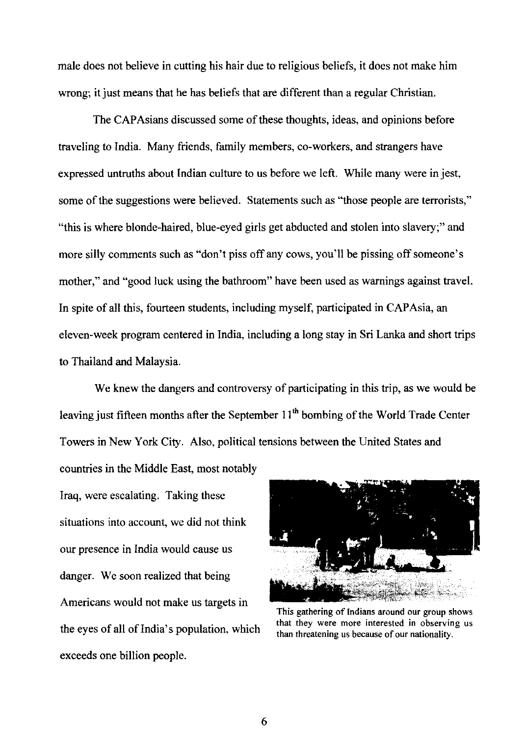male does not believe in cutting his hair due to religious beliefs, it does not make him wrong; it just means that he has beliefs that are different than a regular Christian.

The CAPAsians discussed some of these thoughts, ideas, and opinions before traveling to India. Many friends, family members, co-workers, and strangers have expressed untruths about Indian culture to us before we left. While many were in jest, some of the suggestions were believed. Statements such as "those people are terrorists," "this is where blonde-haired, blue-eyed girls get abducted and stolen into slavery;" and more silly comments such as "don't piss off any cows, you'll be pissing off someone's mother," and "good luck using the bathroom" have been used as warnings against travel. In spite of all this, fourteen students, including myself, participated in CAPAsia, an eleven-week program centered in India, including a long stay in Sri Lanka and short trips to Thailand and Malaysia.

We knew the dangers and controversy of participating in this trip, as we would be leaving just fifteen months after the September  $11<sup>th</sup>$  bombing of the World Trade Center Towers in New York City. Also, political tensions between the United States and

countries in the Middle East, most notably Iraq, were escalating. Taking these situations into account, we did not think our presence in India would cause us danger. We soon realized that being Americans would not make us targets in the eyes of all of India's population, which exceeds one billion people.



This gathering of Indians around our group shows **that they were more interested in observing us**  than threatening us because of our nationality.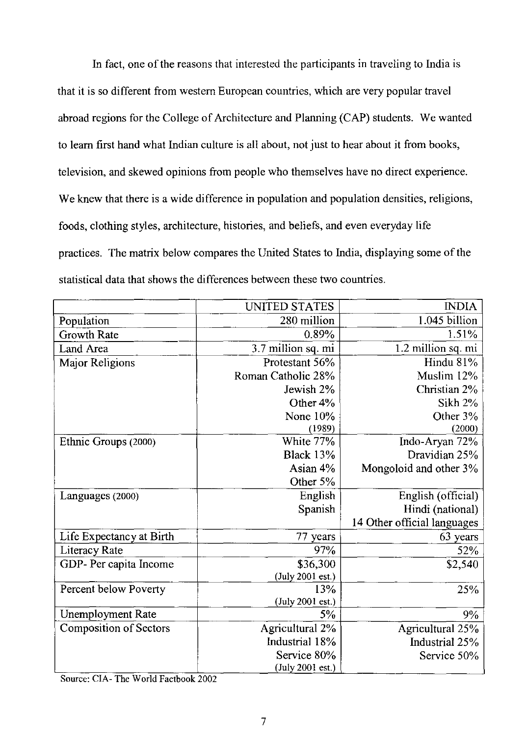In fact, one of the reasons that interested the participants in traveling to India is that it is so different from western European countries, which are very popular travel abroad regions for the College of Architecture and Planning (CAP) students. We wanted to learn first hand what Indian culture is all about, not just to hear about it from books, television, and skewed opinions from people who themselves have no direct experience. We knew that there is a wide difference in population and population densities, religions, foods, clothing styles, architecture, histories, and beliefs, and even everyday life practices. The matrix below compares the United States to India, displaying some of the statistical data that shows the differences between these two countries.

|                               | UNITED STATES      | <b>INDIA</b>                |
|-------------------------------|--------------------|-----------------------------|
| Population                    | 280 million        | 1.045 billion               |
| Growth Rate                   | 0.89%              | 1.51%                       |
| Land Area                     | 3.7 million sq. mi | 1.2 million sq. mi          |
| Major Religions               | Protestant 56%     | Hindu 81%                   |
|                               | Roman Catholic 28% | Muslim 12%                  |
|                               | Jewish 2%          | Christian 2%                |
|                               | Other 4%           | Sikh 2%                     |
|                               | None 10%           | Other 3%                    |
|                               | (1989)             | (2000)                      |
| Ethnic Groups (2000)          | White 77%          | Indo-Aryan 72%              |
|                               | <b>Black 13%</b>   | Dravidian 25%               |
|                               | Asian 4%           | Mongoloid and other 3%      |
|                               | Other 5%           |                             |
| Languages (2000)              | English            | English (official)          |
|                               | Spanish            | Hindi (national)            |
|                               |                    | 14 Other official languages |
| Life Expectancy at Birth      | 77 years           | 63 years                    |
| Literacy Rate                 | 97%                | 52%                         |
| GDP- Per capita Income        | \$36,300           | \$2,540                     |
|                               | (July 2001 est.)   |                             |
| Percent below Poverty         | 13%                | 25%                         |
|                               | (July 2001 est.)   |                             |
| Unemployment Rate             | 5%                 | 9%                          |
| <b>Composition of Sectors</b> | Agricultural 2%    | Agricultural 25%            |
|                               | Industrial 18%     | Industrial 25%              |
|                               | Service 80%        | Service 50%                 |
|                               | (July 2001 est.)   |                             |

Source: CIA- The World Factbook 2002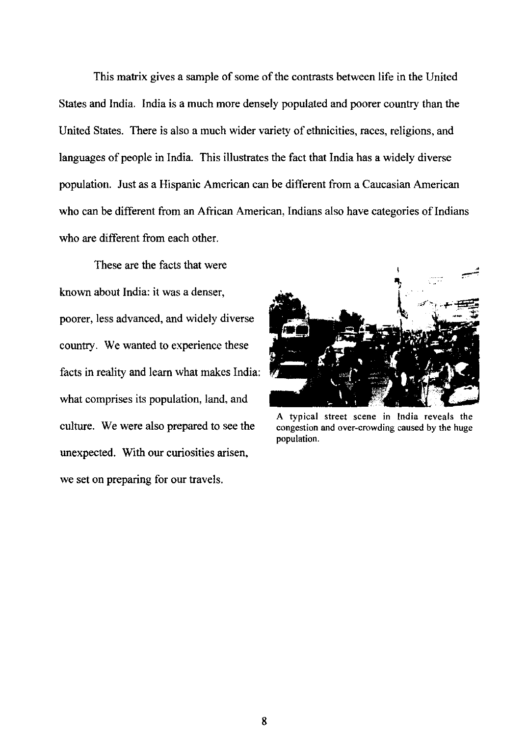This matrix gives a sample of some of the contrasts between life in the United States and India. India is a much more densely populated and poorer country than the United States. There is also a much wider variety of ethnicities, races, religions, and languages of people in India. This illustrates the fact that India has a widely diverse population. Just as a Hispanic American can be different from a Caucasian American who can be different from an African American, Indians also have categories of Indians who are different from each other.

These are the facts that were known about India: it was a denser, poorer, less advanced, and widely diverse country. We wanted to experience these facts in reality and learn what makes India: what comprises its population, land, and culture. We were also prepared to see the unexpected. With our curiosities arisen, we set on preparing for our travels.



A typical street scene in India reveals the congestion and over-crowding caused by the huge population.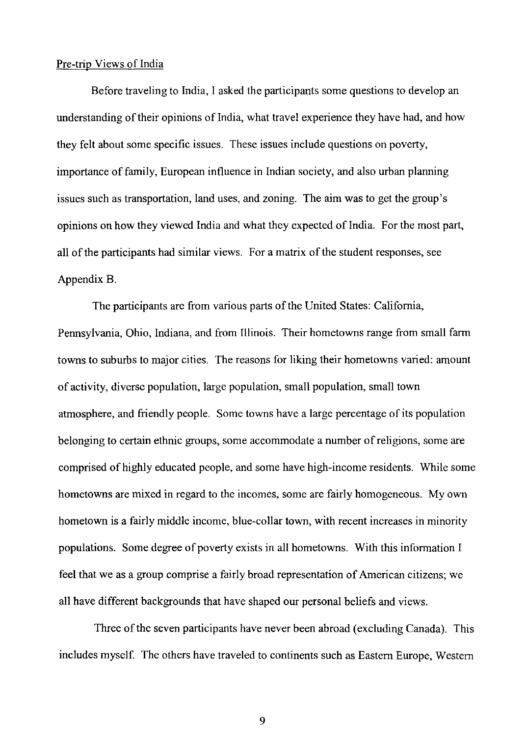#### Pre-trip Views of India

Before traveling to India, I asked the participants some questions to develop an understanding of their opinions of India, what travel experience they have had, and how they felt about some specific issues. These issues include questions on poverty, importance of family, European influence in Indian society, and also urban planning issues such as transportation, land uses, and zoning. The aim was to get the group's opinions on how they viewed India and what they expected of India. For the most part, all of the participants had similar views. For a matrix of the student responses, see Appendix B.

The participants are from various parts of the United States: California, Pennsylvania, Ohio, Indiana, and from Illinois. Their hometowns range from small farm towns to suburbs to major cities. The reasons for liking their hometowns varied: amount of activity, diverse population, large population, small population, small town atmosphere, and friendly people. Some towns have a large percentage of its population belonging to certain ethnic groups, some accommodate a number of religions, some are comprised of highly educated people, and some have high-income residents. While some hometowns are mixed in regard to the incomes, some are fairly homogeneous. My own hometown is a fairly middle income, blue-collar town, with recent increases in minority populations. Some degree of poverty exists in all hometowns. With this information I feel that we as a group comprise a fairly broad representation of American citizens; we all have different backgrounds that have shaped our personal beliefs and views.

Three of the seven participants have never been abroad (excluding Canada). This includes myself. The others have traveled to continents such as Eastern Europe, Western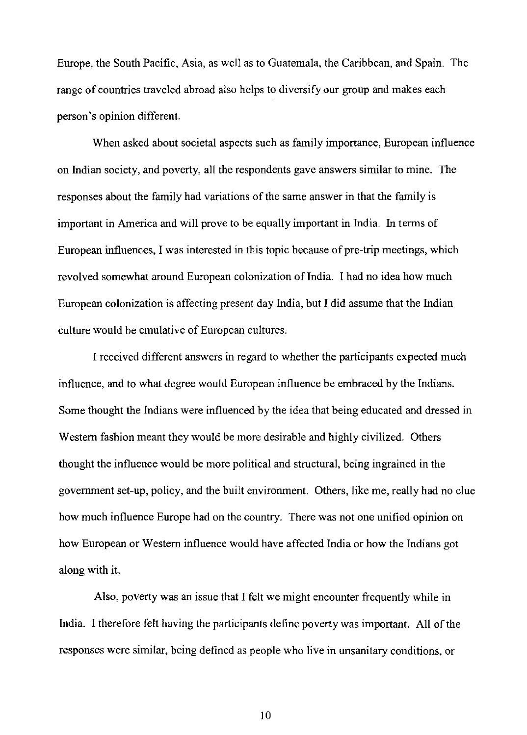Europe, the South Pacific, Asia, as well as to Guatemala, the Caribbean, and Spain. The range of countries traveled abroad also helps to diversify our group and makes each person's opinion different.

When asked about societal aspects such as family importance, European influence on Indian society, and poverty, all the respondents gave answers similar to mine. The responses about the family had variations of the same answer in that the family is important in America and will prove to be equally important in India. In terms of European influences, I was interested in this topic because of pre-trip meetings, which revolved somewhat around European colonization of India. I had no idea how much European colonization is affecting present day India, but I did assume that the Indian culture would be emulative of European cultures.

I received different answers in regard to whether the participants expected much influence, and to what degree would European influence be embraced by the Indians. Some thought the Indians were influenced by the idea that being educated and dressed in Western fashion meant they would be more desirable and highly civilized. Others thought the influence would be more political and structural, being ingrained in the government set-up, policy, and the built environment. Others, like me, really had no clue how much influence Europe had on the country. There was not one unified opinion on how European or Western influence would have affected India or how the Indians got along with it.

Also, poverty was an issue that I felt we might encounter frequently while in India. I therefore felt having the participants define poverty was important. All of the responses were similar, being defined as people who live in unsanitary conditions, or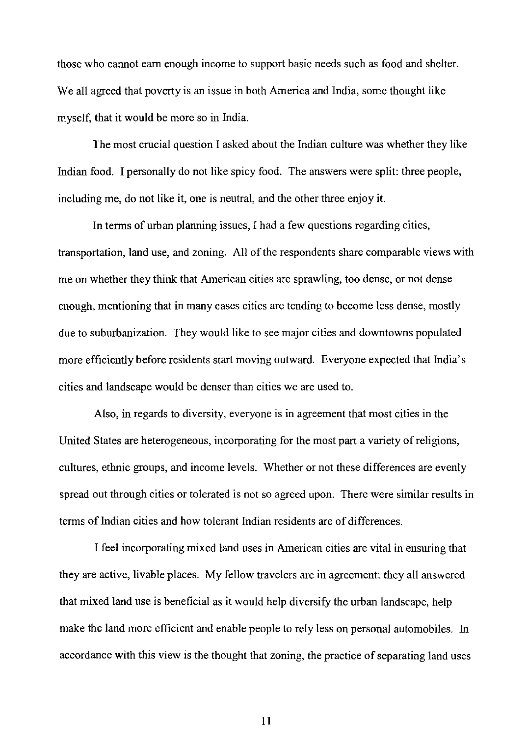those who cannot earn enough income to support basic needs such as food and shelter. We all agreed that poverty is an issue in both America and India, some thought like myself, that it would be more so in India.

The most crucial question I asked about the Indian culture was whether they like Indian food. I personally do not like spicy food. The answers were split: three people, including me, do not like it, one is neutral, and the other three enjoy it.

**In** terms of urban planning issues, I had a few questions regarding cities, transportation, land use, and zoning. All of the respondents share comparable views with me on whether they think that American cities are sprawling, too dense, or not dense enough, mentioning that in many cases cities are tending to become less dense, mostly due to suburbanization. They would like to see major cities and downtowns populated more efficiently before residents start moving outward. Everyone expected that India's cities and landscape would be denser than cities we are used to.

Also, in regards to diversity, everyone is in agreement that most cities in the United States are heterogeneous, incorporating for the most part a variety of religions, cultures, ethnic groups, and income levels. Whether or not these differences are evenly spread out through cities or tolerated is not so agreed upon. There were similar results in terms of Indian cities and how tolerant Indian residents are of differences.

I feel incorporating mixed land uses in American cities are vital in ensuring that they are active, livable places. My fellow travelers are in agreement: they all answered that mixed land use is beneficial as it would help diversify the urban landscape, help make the land more efficient and enable people to rely less on personal automobiles. In accordance with this view is the thought that zoning, the practice of separating land uses

II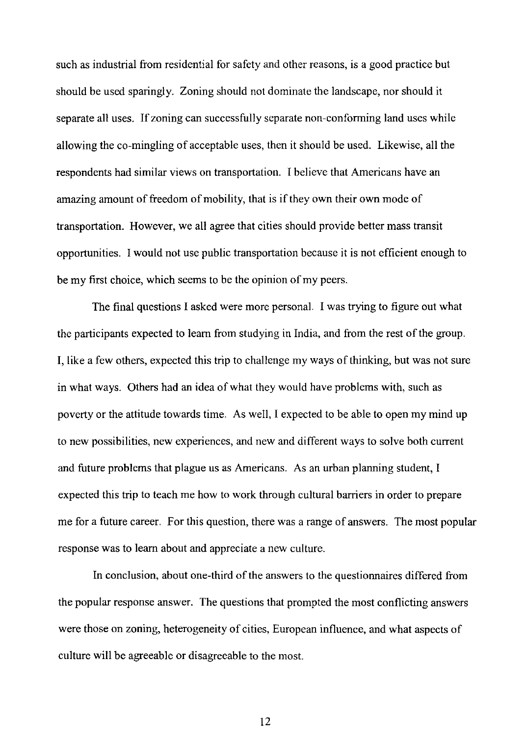such as industrial from residential for safety and other reasons, is a good practice but should be used sparingly. Zoning should not dominate the landscape, nor should it separate all uses. If zoning can successfully separate non-conforming land uses while allowing the co-mingling of acceptable uses, then it should be used. Likewise, all the respondents had similar views on transportation. I believe that Americans have an amazing amount of freedom of mobility, that is if they own their own mode of transportation. However, we all agree that cities should provide better mass transit opportunities. I would not use public transportation because it is not efficient enough to be my first choice, which seems to be the opinion of my peers.

The final questions I asked were more personal. I was trying to figure out what the participants expected to learn from studying in India, and from the rest of the group. I, like a few others, expected this trip to challenge my ways of thinking, but was not sure in what ways. Others had an idea of what they would have problems with, such as poverty or the attitude towards time. As well, I expected to be able to open my mind up to new possibilities, new experiences, and new and different ways to solve both current and future problems that plague us as Americans. As an urban planning student, I expected this trip to teach me how to work through cultural barriers in order to prepare me for a future career. For this question, there was a range of answers. The most popular response was to learn about and appreciate a new culture.

In conclusion, about one-third of the answers to the questionnaires differed from the popular response answer. The questions that prompted the most conflicting answers were those on zoning, heterogeneity of cities, European influence, and what aspects of culture will be agreeable or disagreeable to the most.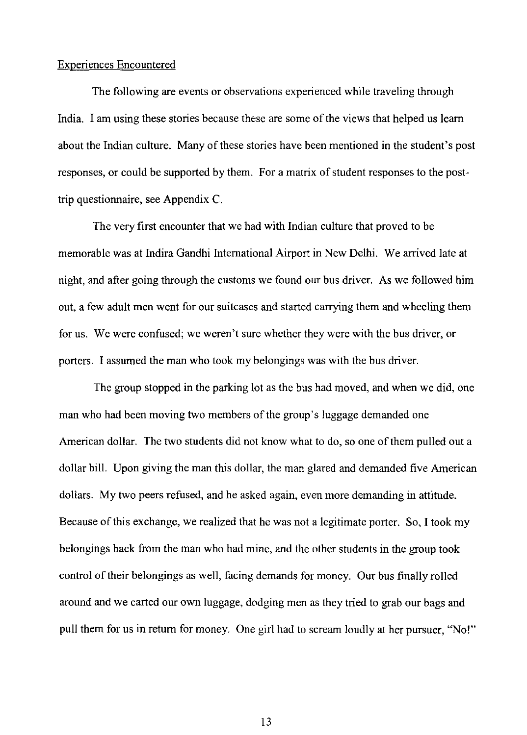#### Experiences Encountered

The following are events or observations experienced while traveling through India. I am using these stories because these are some of the views that helped us learn about the Indian culture. Many of these stories have been mentioned in the student's post responses, or could be supported by them. For a matrix of student responses to the posttrip questionnaire, see Appendix C.

The very first encounter that we had with Indian culture that proved to be memorable was at Indira Gandhi International Airport in New Delhi. We arrived late at night, and after going through the customs we found our bus driver. As we followed him out, a few adult men went for our suitcases and started carrying them and wheeling them for us. We were confused; we weren't sure whether they were with the bus driver, or porters. I assumed the man who took my belongings was with the bus driver.

The group stopped in the parking lot as the bus had moved, and when we did, one man who had been moving two members of the group's luggage demanded one American dollar. The two students did not know what to do, so one of them pulled out a dollar bill. Upon giving the man this dollar, the man glared and demanded five American dollars. My two peers refused, and he asked again, even more demanding in attitude. Because of this exchange, we realized that he was not a legitimate porter. So, I took my belongings back from the man who had mine, and the other students in the group took control of their belongings as well, facing demands for money. Our bus finally rolled around and we carted our own luggage, dodging men as they tried to grab our bags and pull them for us in return for money. One girl had to scream loudly at her pursuer, "No!"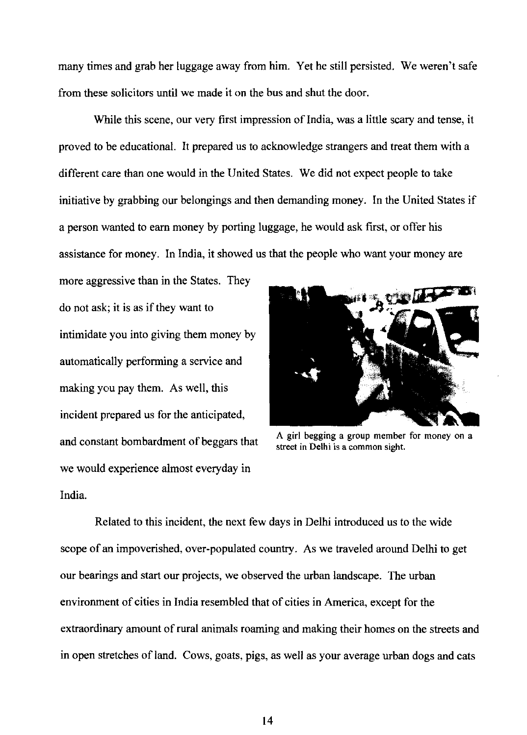many times and grab her luggage away from him. Yet he still persisted. We weren't safe from these solicitors until we made it on the bus and shut the door.

While this scene, our very first impression of India, was a little scary and tense, it proved to be educational. It prepared us to acknowledge strangers and treat them with a different care than one would in the United States. We did not expect people to take initiative by grabbing our belongings and then demanding money. In the United States if a person wanted to earn money by porting luggage, he would ask first, or offer his assistance for money. In India, it showed us that the people who want your money are

more aggressive than in the States. They do not ask; it is as if they want to intimidate you into giving them money by automatically performing a service and making you pay them. As well, this incident prepared us for the anticipated, and constant bombardment of beggars that we would experience almost everyday in India.



A girl begging a group member for money on a street in Delhi is a common sight.

Related to this incident, the next few days in Delhi introduced us to the wide scope of an impoverished, over-populated country. As we traveled around Delhi to get our bearings and start our projects, we observed the urban landscape. The urban environment of cities in India resembled that of cities in America, except for the extraordinary amount of rural animals roaming and making their homes on the streets and in open stretches of land. Cows, goats, pigs, as well as your average urban dogs and cats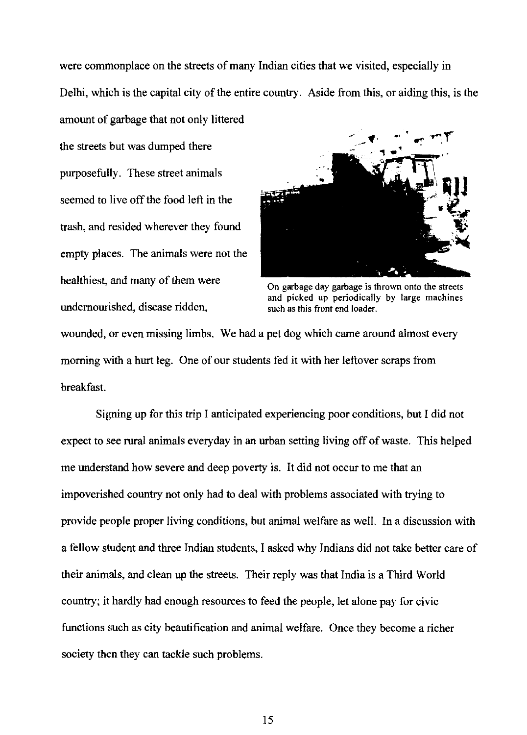were commonplace on the streets of many Indian cities that we visited, especially in

Delhi, which is the capital city of the entire country. Aside from this, or aiding this, is the

amount of garbage that not only Jittered

the streets but was dumped there purposefully. These street animals seemed to live off the food left in the trash, and resided wherever they found empty places. The animals were not the healthiest, and many of them were undernourished, disease ridden,



On garbage day garbage is thrown onto the streets and picked up periodically by large machines such as this front end loader.

wounded, or even missing limbs. We had a pet dog which came around almost every morning with a hurt leg. One of our students fed it with her leftover scraps from breakfast.

Signing up for this trip I anticipated experiencing poor conditions, but I did not expect to see rural animals everyday in an urban setting living off of waste. This helped me understand how severe and deep poverty is. It did not occur to me that an impoverished country not only had to deal with problems associated with trying to provide people proper living conditions, but animal welfare as well. In a discussion with a fellow student and three Indian students, I asked why Indians did not take better care of their animals, and clean up the streets. Their reply was that India is a Third World country; it hardly had enough resources to feed the people, let alone pay for civic functions such as city beautification and animal welfare. Once they become a richer society then they can tackle such problems.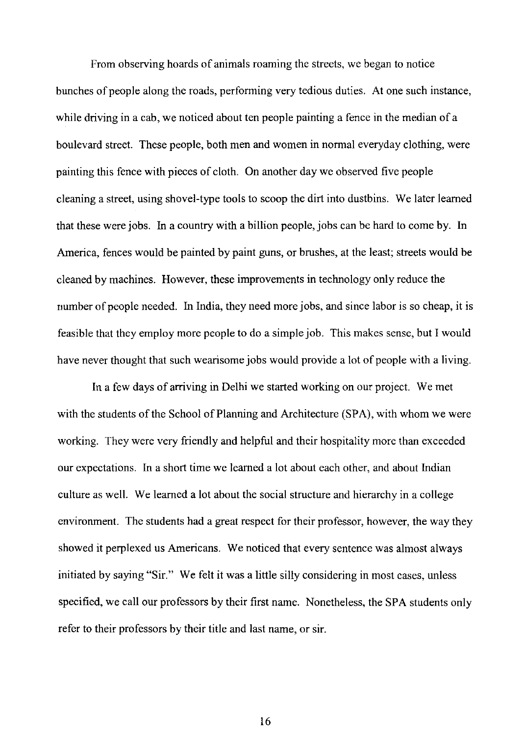From observing hoards of animals roaming the streets, we began to notice bunches of people along the roads, performing very tedious duties. At one such instance, while driving in a cab, we noticed about ten people painting a fence in the median of a boulevard street. These people, both men and women in normal everyday clothing, were painting this fence with pieces of cloth. On another day we observed five people cleaning a street, using shovel-type tools to scoop the dirt into dustbins. We later learned that these were jobs. In a country with a billion people, jobs can be hard to come by. In America, fences would be painted by paint guns, or brushes, at the least; streets would be cleaned by machines. However, these improvements in technology only reduce the number of people needed. In India, they need more jobs, and since labor is so cheap, it is feasible that they employ more people to do a simple job. This makes sense, but I would have never thought that such wearisome jobs would provide a lot of people with a living.

In a few days of arriving in Delhi we started working on our project. We met with the students of the School of Planning and Architecture (SPA), with whom we were working. They were very friendly and helpful and their hospitality more than exceeded our expectations. In a short time we learned a lot about each other, and about Indian culture as well. We learned a lot about the social structure and hierarchy in a college environment. The students had a great respect for their professor, however, the way they showed it perplexed us Americans. We noticed that every sentence was almost always initiated by saying "Sir." We felt it was a little silly considering in most cases, unless specified, we call our professors by their first name. Nonetheless, the SPA students only refer to their professors by their title and last name, or sir.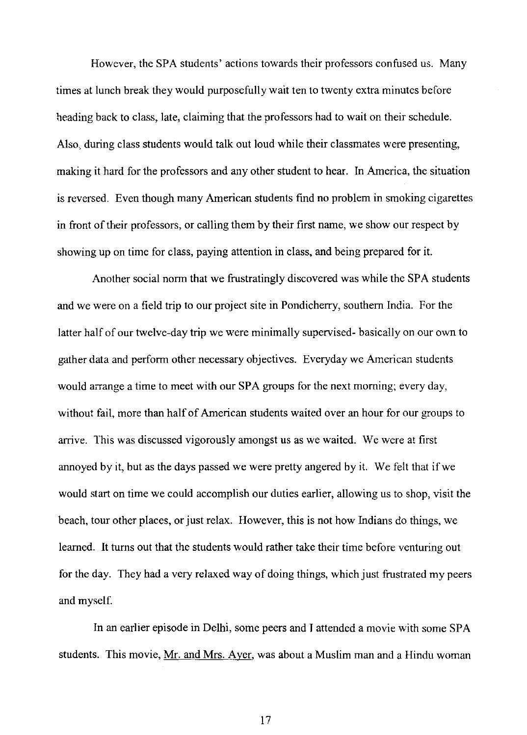However, the SPA students' actions towards their professors confused us. Many times at lunch break they would purposefully wait ten to twenty extra minutes before heading back to class, late, claiming that the professors had to wait on their schedule. Also, during class students would talk out loud while their classmates were presenting, making it hard for the professors and any other student to hear. In America, the situation is reversed. Even though many American students find no problem in smoking cigarettes in front of their professors, or calling them by their first name, we show our respect by showing up on time for class, paying attention in class, and being prepared for it.

Another social norm that we frustratingly discovered was while the SPA students and we were on a field trip to our project site in Pondicherry, southern India. For the latter half of our twelve-day trip we were minimally supervised- basically on our own to gather data and perform other necessary objectives. Everyday we American students would arrange a time to meet with our SPA groups for the next morning; every day, without fail, more than half of American students waited over an hour for our groups to arrive. This was discussed vigorously amongst us as we waited. We were at first annoyed by it, but as the days passed we were pretty angered by it. We felt that if we would start on time we could accomplish our duties earlier, allowing us to shop, visit the beach, tour other places, or just relax. However, this is not how Indians do things, we learned. It turns out that the students would rather take their time before venturing out for the day. They had a very relaxed way of doing things, which just frustrated my peers and myself.

In an earlier episode in Delhi, some peers and I attended a movie with some SPA students. This movie, Mr. and Mrs. Ayer, was about a Muslim man and a Hindu woman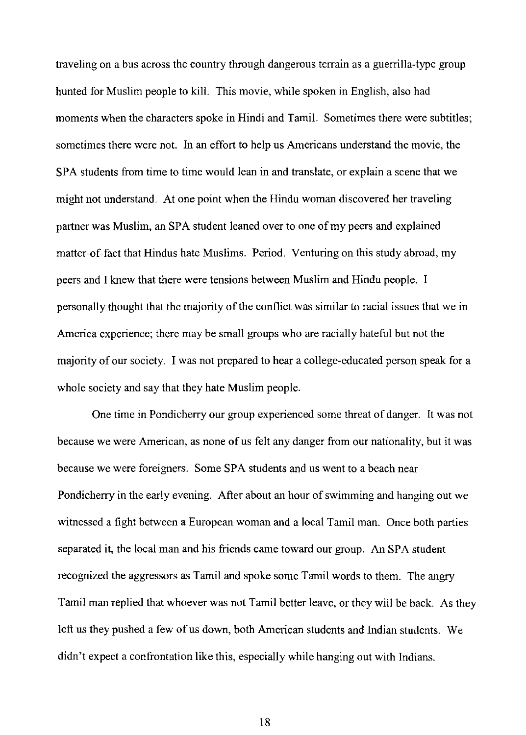traveling on a bus across the country through dangerous terrain as a guerrilla-type group hunted for Muslim people to kill. This movie, while spoken in English, also had moments when the characters spoke in Hindi and Tamil. Sometimes there were subtitles; sometimes there were not. In an effort to help us Americans understand the movie, the SPA students from time to time would lean in and translate, or explain a scene that we might not understand. At one point when the Hindu woman discovered her traveling partner was Muslim, an SPA student leaned over to one of my peers and explained matter-of-fact that Hindus hate Muslims. Period. Venturing on this study abroad, my peers and I knew that there were tensions between Muslim and Hindu people. I personally thought that the majority of the conflict was similar to racial issues that we in America experience; there may be small groups who are racially hateful but not the majority of our society. I was not prepared to hear a college-educated person speak for a whole society and say that they hate Muslim people.

One time in Pondicherry our group experienced some threat of danger. It was not because we were American, as none of us felt any danger from our nationality, but it was because we were foreigners. Some SPA students and us went to a beach near Pondicherry in the early evening. After about an hour of swimming and hanging out we witnessed a fight between a European woman and a local Tamil man. Once both parties separated it, the local man and his friends came toward our group. An SPA student recognized the aggressors as Tamil and spoke some Tamil words to them. The angry Tamil man replied that whoever was not Tamil better leave, or they will be back. As they left us they pushed a few of us down, both American students and Indian students. We didn't expect a confrontation like this, especially while hanging out with Indians.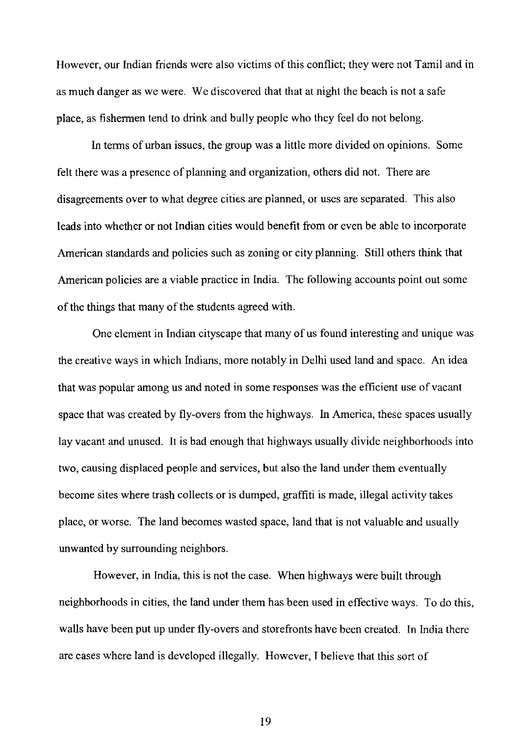However, our Indian friends were also victims of this conflict; they were not Tamil and in as much danger as we were. We discovered that that at night the beach is not a safe place, as fishermen tend to drink and bully people who they feel do not belong.

In terms of urban issues, the group was a little more divided on opinions. Some felt there was a presence of planning and organization, others did not. There are disagreements over to what degree cities are planned, or uses are separated. This also leads into whether or not Indian cities would benefit from or even be able to incorporate American standards and policies such as zoning or city planning. Still others think that American policies are a viable practice in India. The following accounts point out some of the things that many of the students agreed with.

One element in Indian cityscape that many of us found interesting and unique was the creative ways in which Indians, more notably in Delhi used land and space. An idea that was popular among us and noted in some responses was the efficient use of vacant space that was created by fly-overs from the highways. In America, these spaces usually lay vacant and unused. It is bad enough that highways usually divide neighborhoods into two, causing displaced people and services, but also the land under them eventually become sites where trash collects or is dumped, graffiti is made, illegal activity takes place, or worse. The land becomes wasted space, land that is not valuable and usually unwanted by surrounding neighbors.

However, in India, this is not the case. When highways were built through neighborhoods in cities, the land under them has been used in effective ways. To do this, walls have been put up under fly-overs and storefronts have been created. In India there are cases where land is developed illegally. However, I believe that this sort of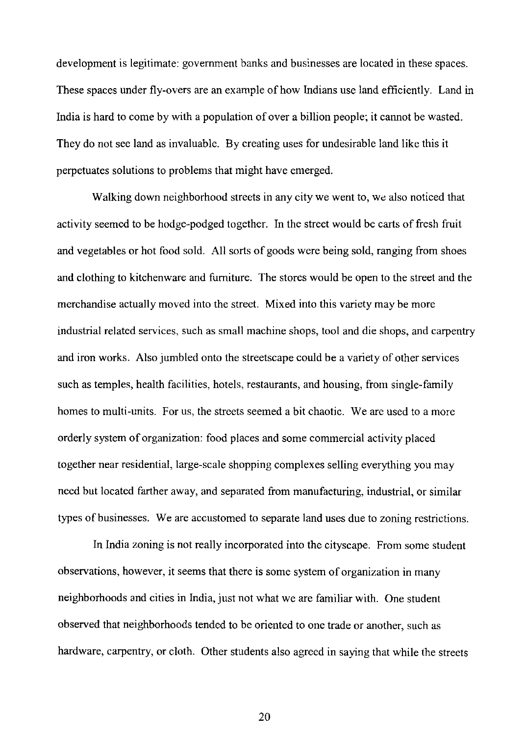development is legitimate: government banks and businesses are located in these spaces. These spaces under fly-overs are an example of how Indians use land efficiently. Land in India is hard to come by with a population of over a billion people; it cannot be wasted. They do not see land as invaluable. By creating uses for undesirable land like this it perpetuates solutions to problems that might have emerged.

Walking down neighborhood streets in any city we went to, We also noticed that activity seemed to be hodge-podged together. In the street would be carts of fresh fruit and vegetables or hot food sold. All sorts of goods were being sold, ranging from shoes and clothing to kitchenware and furniture. The stores would be open to the street and the merchandise actually moved into the street. Mixed into this variety may be more industrial related services, such as small machine shops, tool and die shops, and carpentry and iron works. Also jumbled onto the streetscape could be a variety of other services such as temples, health facilities, hotels, restaurants, and housing, from single-family homes to multi-units. For us, the streets seemed a bit chaotic. We are used to a more orderly system of organization: food places and some commercial activity placed together near residential, large-scale shopping complexes selling everything you may need but located farther away, and separated from manufacturing, industrial, or similar types of businesses. We are accustomed to separate land uses due to zoning restrictions.

In India zoning is not really incorporated into the cityscape. From some student observations, however, it seems that there is some system of organization in many neighborhoods and cities in India, just not what we are familiar with. One student observed that neighborhoods tended to be oriented to one trade or another, such as hardware, carpentry, or cloth. Other students also agreed in saying that while the streets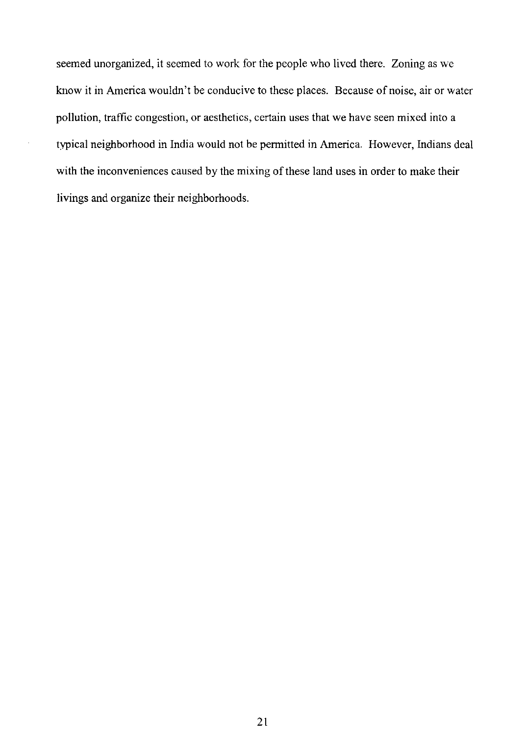seemed unorganized, it seemed to work for the people who lived there. Zoning as we know it in America wouldn't be conducive to these places. Because of noise, air or water pollution, traffic congestion, or aesthetics, certain uses that we have seen mixed into a typical neighborhood in India would not be permitted in America. However, Indians deal with the inconveniences caused by the mixing of these land uses in order to make their livings and organize their neighborhoods.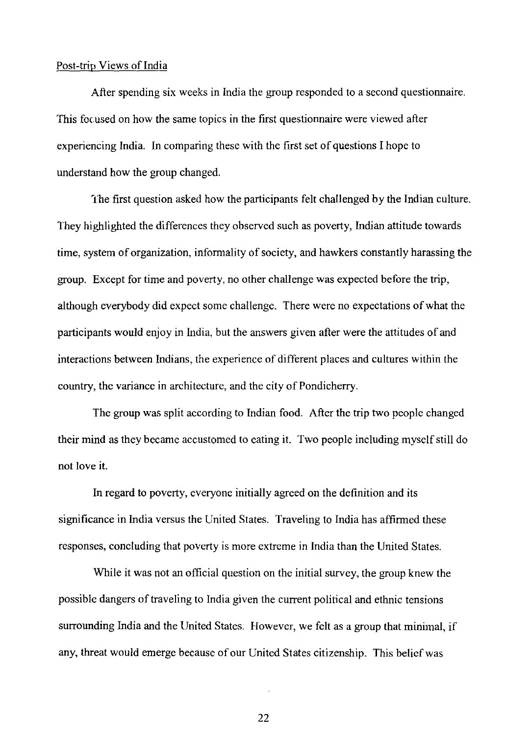#### Post-trip Views of India

After spending six weeks in India the group responded to a second questionnaire. This focused on how the same topics in the first questionnaire were viewed after experiencing India. In comparing these with the first set of questions I hope to understand how the group changed.

'fhe first question asked how the participants felt challenged by the Indian culture. They highlighted the differences they observed such as poverty, Indian attitude towards time, system of organization, informality of society, and hawkers constantly harassing the group. Except for time and poverty, no other challenge was expected before the trip, although everybody did expect some challenge. There were no expectations of what the participants would enjoy in India, but the answers given after were the attitudes of and interactions between Indians, the experience of different places and cultures within the country, the variance in architecture, and the city of Pondicherry.

The group was split according to Indian food. After the trip two people changed their mind as they became accustomed to eating it. Two people including myself still do not love it.

In regard to poverty, everyone initially agreed on the definition and its significance in India versus the United States. Traveling to India has affirmed these responses, concluding that poverty is more extreme in India than the United States.

While it was not an official question on the initial survey, the group knew the possible dangers of traveling to India given the current political and ethnic tensions surrounding India and the United States. However, we felt as a group that minimal, if any, threat would emerge because of our United States citizenship. This belief was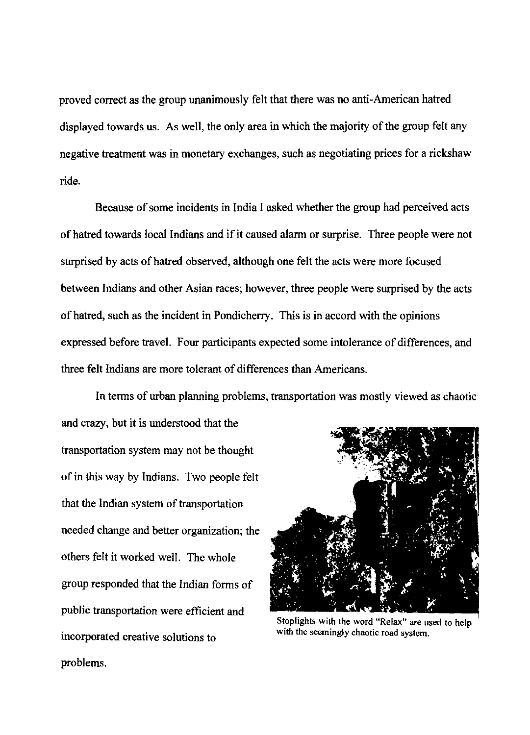proved correct as the group unanimously felt that there was no anti-American hatred displayed towards us. As well, the only area in which the majority of the group felt any negative treatment was in monetary exchanges, such as negotiating prices for a rickshaw ride.

Because of some incidents in India I asked whether the group had perceived acts of hatred towards local Indians and ifit caused alarm or surprise. Three people were not surprised by acts of hatred observed, although one felt the acts were more focused between Indians and other Asian races; however, three people were surprised by the acts of hatred, such as the incident in Pondicherry. This is in accord with the opinions expressed before travel. Four participants expected some intolerance of differences, and three felt Indians are more tolerant of differences than Americans.

In terms of urban planning problems, transportation was mostly viewed as chaotic and crazy, but it is understood that the transportation system may not be thought of in this way by Indians. Two people felt that the Indian system of transportation needed change and better organization; the others felt it worked well. The whole group responded that the Indian forms of public transportation were efficient and incorporated creative solutions to Stoplights with the word "Relax" are used to help with the seemingly chaotic road system.

problems.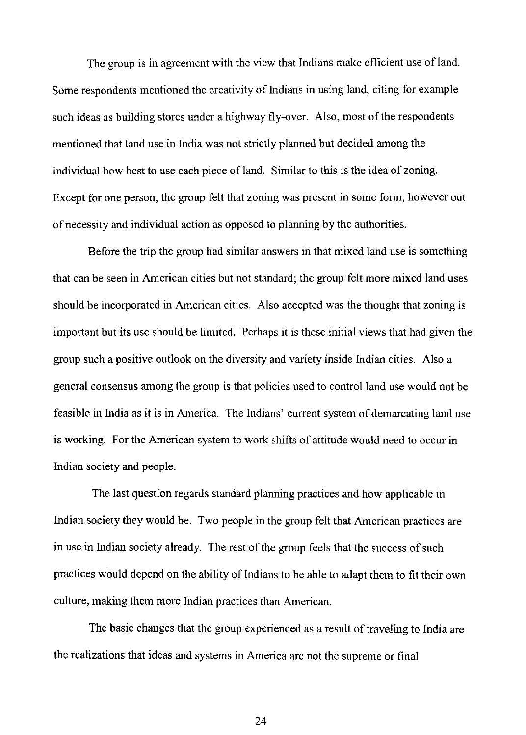The group is in agreement with the view that Indians make efficient use of land. Some respondents mentioned the creativity of Indians in using land, citing for example such ideas as building stores under a highway fly-over. Also, most of the respondents mentioned that land use in India was not strictly planned but decided among the individual how best to use each piece of land. Similar to this is the idea of zoning. Except for one person, the group felt that zoning was present in some form, however out of necessity and individual action as opposed to planning by the authorities.

Before the trip the group had similar answers in that mixed land use is something that can be seen in American cities but not standard; the group felt more mixed land uses should be incorporated in American cities. Also accepted was the thought that zoning is important but its use should be limited. Perhaps it is these initial views that had given the group such a positive outlook on the diversity and variety inside Indian cities. Also a general consensus among the group is that policies used to control land use would not be feasible in India as it is in America. The Indians' current system of demarcating land use is working. For the American system to work shifts of attitude would need to occur in Indian society and people.

The last question regards standard planning practices and how applicable in Indian society they would be. Two people in the group felt that American practices are in use in Indian society already. The rest of the group feels that the success of such practices would depend on the ability of Indians to be able to adapt them to fit their own culture, making them more Indian practices than American.

The basic changes that the group experienced as a result of traveling to India are the realizations that ideas and systems in America are not the supreme or final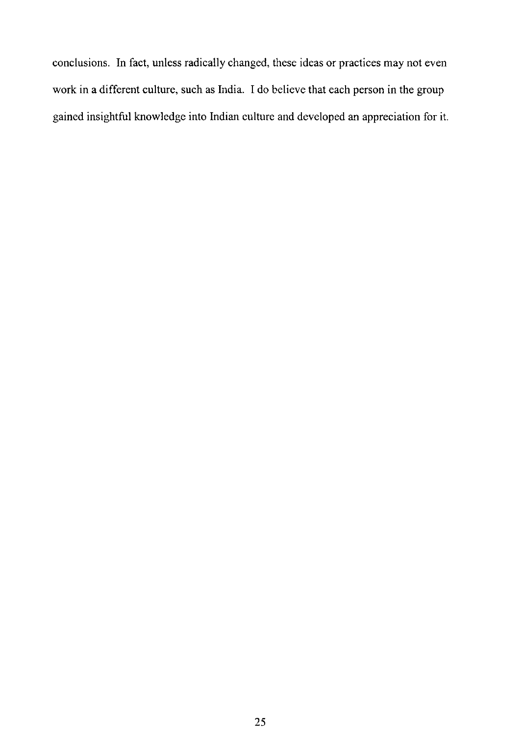conclusions. **In** fact, unless radically changed, these ideas or practices may not even work in a different culture, such as India. I do believe that each person in the group gained insightful knowledge into Indian culture and developed an appreciation for it.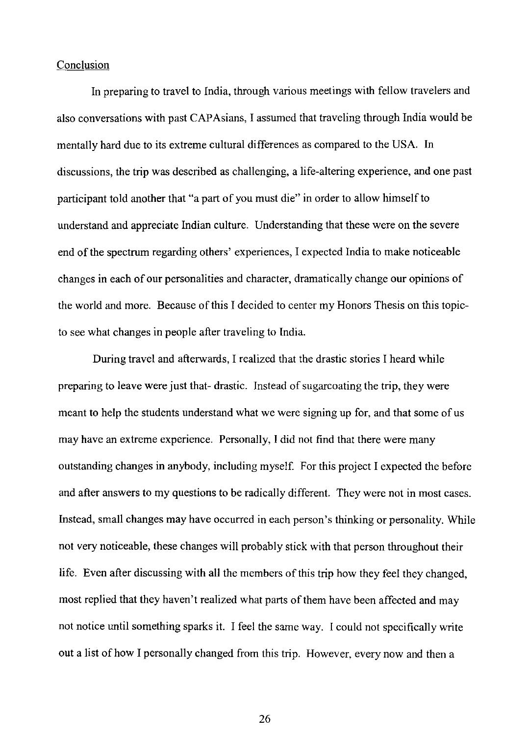#### Conclusion

In preparing to travel to India, through various meetings with fellow travelers and also conversations with past CAP Asians, I assumed that traveling through India would be mentally hard due to its extreme cultural differences as compared to the USA. In discussions, the trip was described as challenging, a life-altering experience, and one past participant told another that "a part of you must die" in order to allow himself to understand and appreciate Indian culture. Understanding that these were on the severe end of the spectrum regarding others' experiences, I expected India to make noticeable changes in each of our personalities and character, dramatically change our opinions of the world and more. Because of this I decided to center my Honors Thesis on this topicto see what changes in people after traveling to India.

During travel and afterwards, I realized that the drastic stories I heard while preparing to leave were just that- drastic. Instead of sugarcoating the trip, they were meant to help the students understand what we were signing up for, and that some of us may have an extreme experience. Personally, I did not find that there were many outstanding changes in anybody, including myself. For this project I expected the before and after answers to my questions to be radically different. They were not in most cases. Instead, small changes may have occurred in each person's thinking or personality. While not very noticeable, these changes will probably stick with that person throughout their life. Even after discussing with all the members of this trip how they feel they changed, most replied that they haven't realized what parts of them have been affected and may not notice until something sparks it. I feel the same way. I could not specifically write out a list of how I personally changed from this trip. However, every now and then a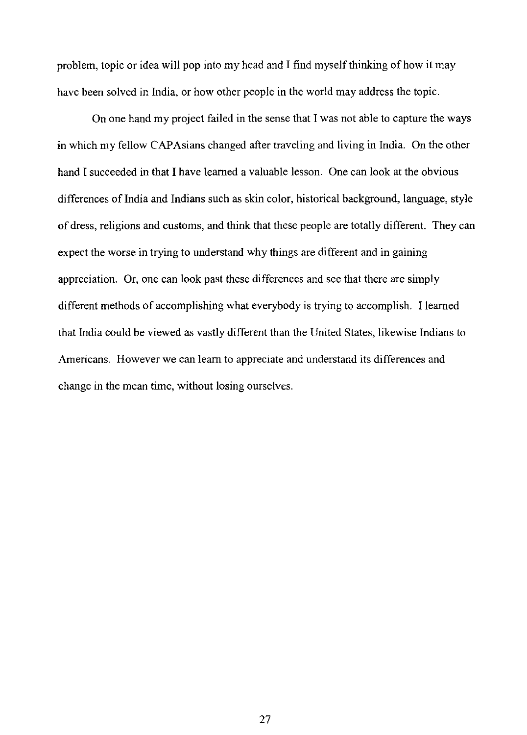problem, topic or idea will pop into my head and I find myself thinking of how it may have been solved in India, or how other people in the world may address the topic.

On one hand my project failed in the sense that I was not able to capture the ways in which my fellow CAP Asians changed after traveling and living in India. On the other hand I succeeded in that I have learned a valuable lesson. One can look at the obvious differences of India and Indians such as skin color, historical background, language, style of dress, religions and customs, and think that these people are totally different. They can expect the worse in trying to understand why things are different and in gaining appreciation. Or, one can look past these differences and see that there are simply different methods of accomplishing what everybody is trying to accomplish. I learned that India could be viewed as vastly different than the United States, likewise Indians to Americans. However we can learn to appreciate and understand its differences and change in the mean time, without losing ourselves.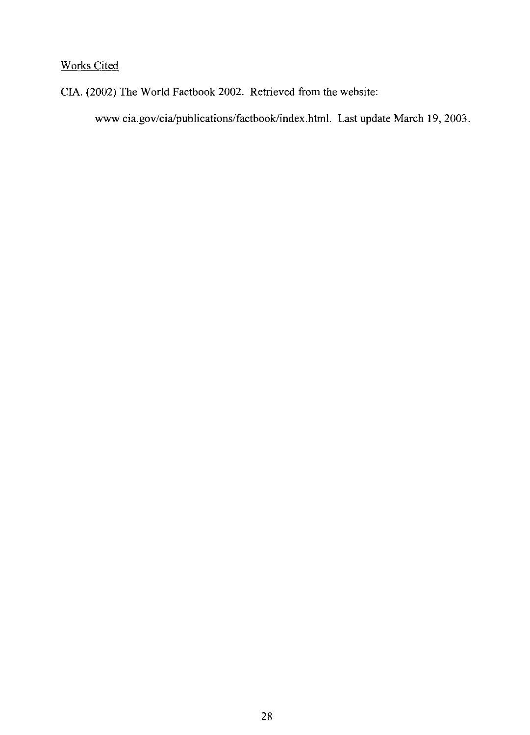# Works Cited

CIA. (2002) The World Factbook 2002. Retrieved from the website:

www.cia.gov/cia/publications/factbook/index.html. Last update March 19, 2003.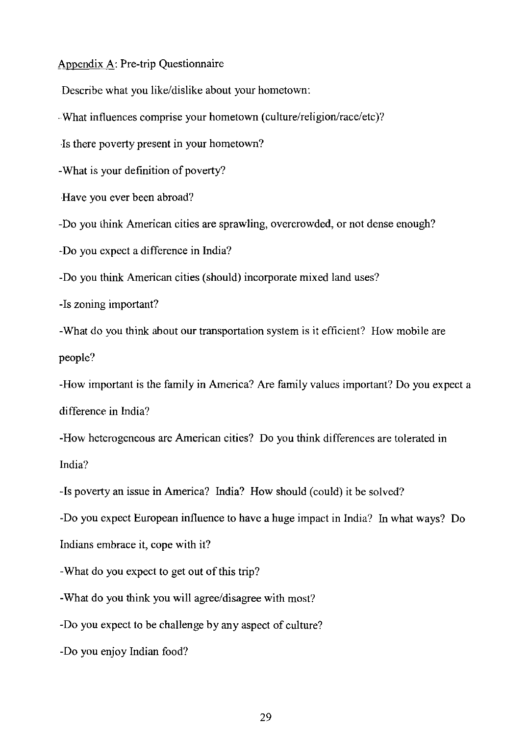Appendix A: Pre-trip Questionnaire

Describe what you like/dislike about your hometown:

-What influences comprise your hometown (culture/religion/race/etc)?

Is there poverty present in your hometown?

-What is your definition of poverty?

Have you ever been abroad?

-Do you think American cities are sprawling, overcrowded, or not dense enough?

-Do you expect a difference in India?

-Do you think American cities (should) incorporate mixed land uses?

-Is zoning important?

-What do you think about our transportation system is it efficient? How mobile are people?

-How important is the family in America? Are family values important? Do you expect a difference in India?

-How heterogeneous are American cities? Do you think differences are tolerated in India?

-Is poverty an issue in America? India? How should (could) it be solved?

-Do you expect European influence to have a huge impact in India? In what ways? Do

Indians embrace it, cope with it?

-What do you expect to get out of this trip?

-What do you think you will agree/disagree with most?

-Do you expect to be challenge by any aspect of culture?

-Do you enjoy Indian food?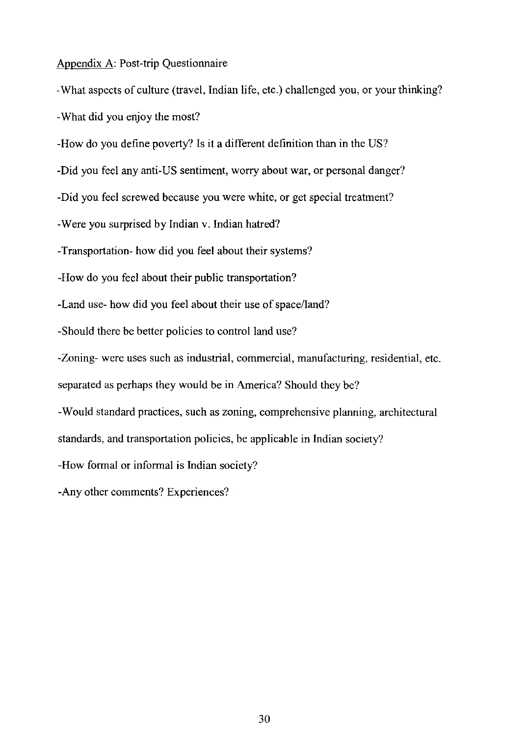### Appendix A: Post-trip Questionnaire

-What aspects of culture (travel, Indian life, etc.) challenged you, or your thinking? -What did you enjoy the most?

-How do you define poverty? Is it a different definition than in the US?

-Did you feel any anti-US sentiment, worry about war, or personal danger?

-Did you feel screwed because you were white, or get special treatment?

-Were you surprised by Indian v. Indian hatred?

-Transportation- how did you feel about their systems?

-How do you feel about their public transportation?

-Land use- how did you feel about their use of space/land?

-Should there be better policies to control land use?

-Zoning- were uses such as industrial, commercial, manufacturing, residential, etc.

separated as perhaps they would be in America? Should they be?

-Would standard practices, such as zoning, comprehensive planning, architectural

standards, and transportation policies, be applicable in Indian society?

-How formal or informal is Indian society?

-Any other comments? Experiences?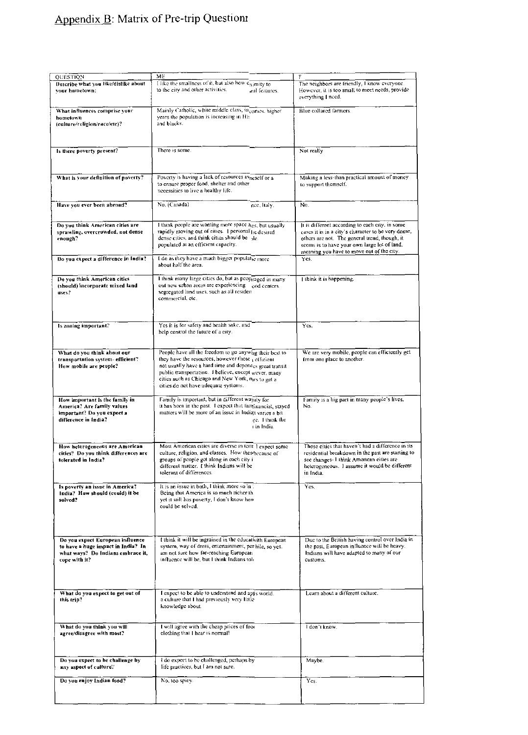# Appendix B: Matrix of Pre-trip Questionr

| <b>OUESTION</b><br>Describe what you like/dislike about<br>vour hometown:                                                    | ME<br>I like the smallness of it, but also how $c_{X\text{.}}$ inty to<br>to the city and other activities.<br>and features.                                                                                                                                                                                                  | The neighbors are friendly, I know everyone.<br>However, it is too small to meet needs, provide<br>everything I need.                                                                                                                                                   |  |  |  |
|------------------------------------------------------------------------------------------------------------------------------|-------------------------------------------------------------------------------------------------------------------------------------------------------------------------------------------------------------------------------------------------------------------------------------------------------------------------------|-------------------------------------------------------------------------------------------------------------------------------------------------------------------------------------------------------------------------------------------------------------------------|--|--|--|
| What influences comprise your<br>hometown<br>(culture/religion/race/etc)?                                                    | Mainly Catholic, white middle class, in comes, higher<br>years the population is increasing in His<br>and blacks.                                                                                                                                                                                                             | Blue collared farmers.                                                                                                                                                                                                                                                  |  |  |  |
| Is there poverty present?                                                                                                    | There is some.                                                                                                                                                                                                                                                                                                                | Not really                                                                                                                                                                                                                                                              |  |  |  |
| What is your definition of poverty?                                                                                          | Poverty is having a lack of resources avneself or a<br>to ensure proper food, shelter and other<br>necessities to live a healthy life.                                                                                                                                                                                        | Making a less-than practical amount of money<br>to support themself.                                                                                                                                                                                                    |  |  |  |
| Have you ever been abroad?                                                                                                   | No. (Canada)<br>nce, Italy,                                                                                                                                                                                                                                                                                                   | No.                                                                                                                                                                                                                                                                     |  |  |  |
| Do you think American cities are<br>sprawling, overcrowded, not dense<br>enough?                                             | I think people are wanting more space ales, but usually<br>rapidly moving out of cities. I personal he desired<br>dense cities, and think cities should be $\gamma$ ie.<br>populated at an efficient capacity.                                                                                                                | It is different according to each city, in some<br>cases it is in a city's character to be very dense,<br>others are not. The general trend, though, it<br>seems is to have your own large lot of land,<br>meaning you have to move out of the city.                    |  |  |  |
| Do you expect a difference in India?                                                                                         | I do as they have a much bigger populat <sub>ie</sub> more<br>about half the area.                                                                                                                                                                                                                                            | Yes.                                                                                                                                                                                                                                                                    |  |  |  |
| Do you think American cities<br>(should) incorporate mixed land<br>uses?                                                     | I think many large cities do, but as peopraged in many<br>out new urban areas are experiencing ood centers.<br>segregated land uses, such as all residen<br>commercial, etc.                                                                                                                                                  | I think it is happening.                                                                                                                                                                                                                                                |  |  |  |
| Is zoning important.'                                                                                                        | Yes it is for safety and health sake, and<br>help control the future of a city.                                                                                                                                                                                                                                               | Ycs.                                                                                                                                                                                                                                                                    |  |  |  |
| What do you think about our<br>transportation system- efficient?<br>How mobile are people?                                   | People have all the freedom to go anywing their best to<br>they have the resources, however those cefficient<br>not usually have a hard time and dependes great transit<br>public transportation. I believe, except wever, many<br>cities such as Chicago and New York, nars to get a<br>cities do not have adequate systems. | We are very mobile, people can efficiently get<br>(rom one place to another.                                                                                                                                                                                            |  |  |  |
| How important is the family in<br>America? Are family values<br>important? Do you expect a<br>difference in India?           | Family is important, but in different wayily for<br>it has been in the past. I expect that faminancial, stayed<br>matters will be more of an issue in Indiat varies a bit<br>ec. I think the<br>i in India.                                                                                                                   | Family is a big part in many people's lives.<br>No.<br>Those cities that haven't had a difference in its<br>residential breakdown in the past are starting to<br>see changes- I think American cities are<br>heterogeneous. I assume it would be different<br>in India. |  |  |  |
| How heterogeneous are American<br>cities? Do you think differences are<br>tolerated in India?                                | Most American cities are diverse in term I expect some<br>culture, religion, and classes. How thes because of<br>groups of people get along in each city i<br>different matter. I think Indians will be<br>tolerant of differences.                                                                                           |                                                                                                                                                                                                                                                                         |  |  |  |
| Is poverty an issue in America?<br>India? How should (could) it be<br>solved?                                                | It is an issue in both, I think more so in.<br>Being that America is so much richer th.<br>yet it still has poverty, I don't know how<br>could be solved.                                                                                                                                                                     | Yes.                                                                                                                                                                                                                                                                    |  |  |  |
| Do you expect European influence<br>to have a huge impact in India? In<br>what ways? Do Indians embrace it,<br>cope with it? | I think it will be ingrained in the educativith European<br>system, way of dress, entertainment, per hile, so yes.<br>am not sure how far-reaching European.<br>influence will be, but I think Indians tol-                                                                                                                   | Due to the British having control over India in<br>the past, European influence will be heavy.<br>Indians will have adapted to many of our<br>customs.                                                                                                                  |  |  |  |
| What do you expect to get out of<br>this trip?                                                                               | I expect to be able to understand and apts world.<br>a culture that I had previously very little<br>knowledge about.                                                                                                                                                                                                          | Learn about a different culture.                                                                                                                                                                                                                                        |  |  |  |
| What do you think you will<br>agree/disagree with most?                                                                      | I will agree with the cheap prices of foor<br>clothing that I hear is normal!                                                                                                                                                                                                                                                 | I don't know.                                                                                                                                                                                                                                                           |  |  |  |
| Do you expect to be challenge by<br>any aspect of culture?                                                                   | I do expect to be challenged, perhaps by<br>life practices, but I am not sure.                                                                                                                                                                                                                                                | Maybe.                                                                                                                                                                                                                                                                  |  |  |  |
|                                                                                                                              |                                                                                                                                                                                                                                                                                                                               |                                                                                                                                                                                                                                                                         |  |  |  |